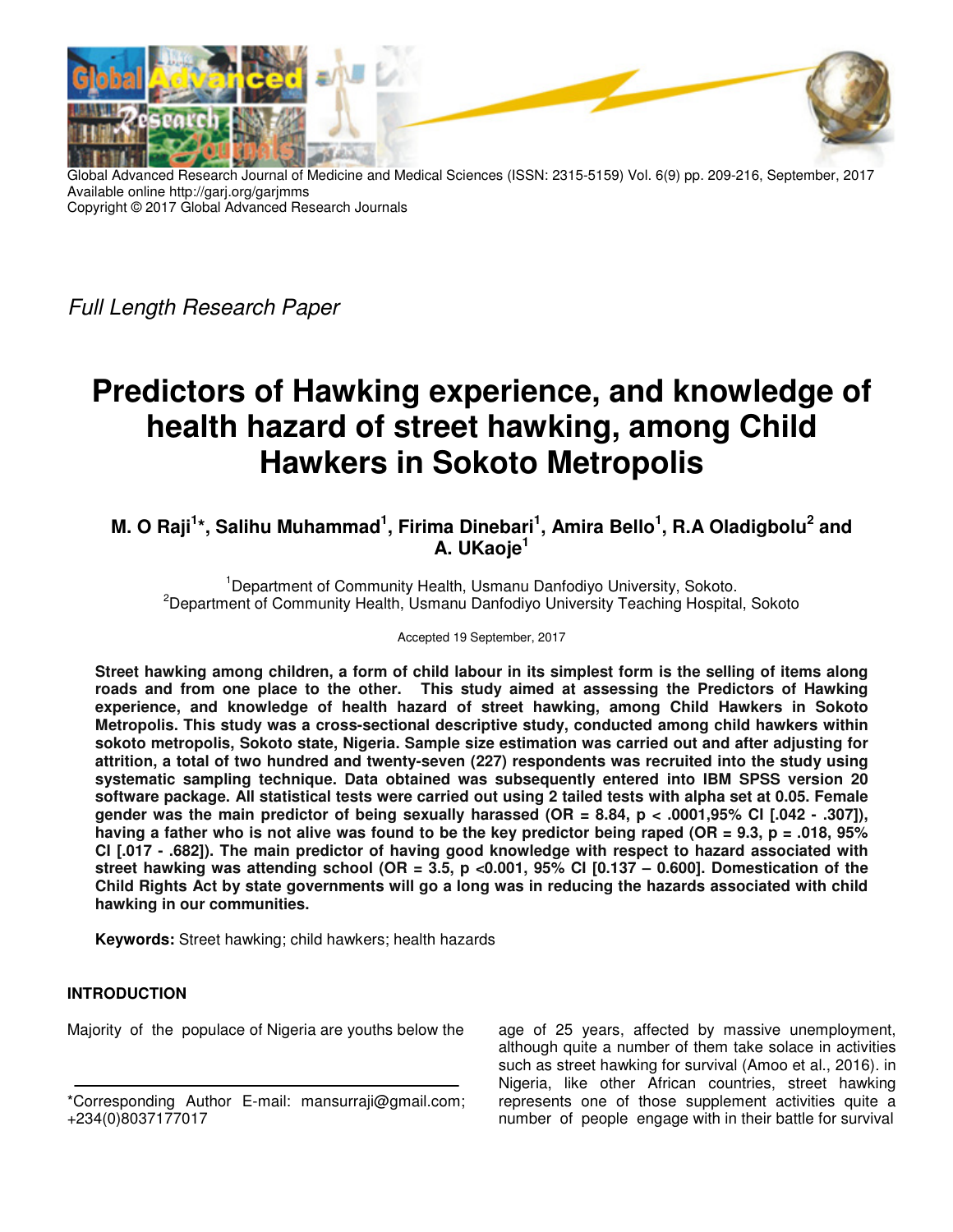

Global Advanced Research Journal of Medicine and Medical Sciences (ISSN: 2315-5159) Vol. 6(9) pp. 209-216, September, 2017 Available online http://garj.org/garjmms Copyright © 2017 Global Advanced Research Journals

Full Length Research Paper

# **Predictors of Hawking experience, and knowledge of health hazard of street hawking, among Child Hawkers in Sokoto Metropolis**

## **M. O Raji<sup>1</sup> \*, Salihu Muhammad<sup>1</sup> , Firima Dinebari<sup>1</sup> , Amira Bello<sup>1</sup> , R.A Oladigbolu<sup>2</sup> and A. UKaoje<sup>1</sup>**

<sup>1</sup>Department of Community Health, Usmanu Danfodiyo University, Sokoto. <sup>2</sup>Department of Community Health, Usmanu Danfodiyo University Teaching Hospital, Sokoto

Accepted 19 September, 2017

**Street hawking among children, a form of child labour in its simplest form is the selling of items along roads and from one place to the other. This study aimed at assessing the Predictors of Hawking experience, and knowledge of health hazard of street hawking, among Child Hawkers in Sokoto Metropolis. This study was a cross-sectional descriptive study, conducted among child hawkers within sokoto metropolis, Sokoto state, Nigeria. Sample size estimation was carried out and after adjusting for attrition, a total of two hundred and twenty-seven (227) respondents was recruited into the study using systematic sampling technique. Data obtained was subsequently entered into IBM SPSS version 20 software package. All statistical tests were carried out using 2 tailed tests with alpha set at 0.05. Female gender was the main predictor of being sexually harassed (OR = 8.84, p < .0001,95% CI [.042 - .307]), having a father who is not alive was found to be the key predictor being raped (OR = 9.3, p = .018, 95% CI [.017 - .682]). The main predictor of having good knowledge with respect to hazard associated with street hawking was attending school (OR = 3.5, p <0.001, 95% CI [0.137 – 0.600]. Domestication of the Child Rights Act by state governments will go a long was in reducing the hazards associated with child hawking in our communities.** 

**Keywords:** Street hawking; child hawkers; health hazards

## **INTRODUCTION**

Majority of the populace of Nigeria are youths below the

age of 25 years, affected by massive unemployment, although quite a number of them take solace in activities such as street hawking for survival (Amoo et al., 2016). in Nigeria, like other African countries, street hawking represents one of those supplement activities quite a number of people engage with in their battle for survival

<sup>\*</sup>Corresponding Author E-mail: mansurraji@gmail.com; +234(0)8037177017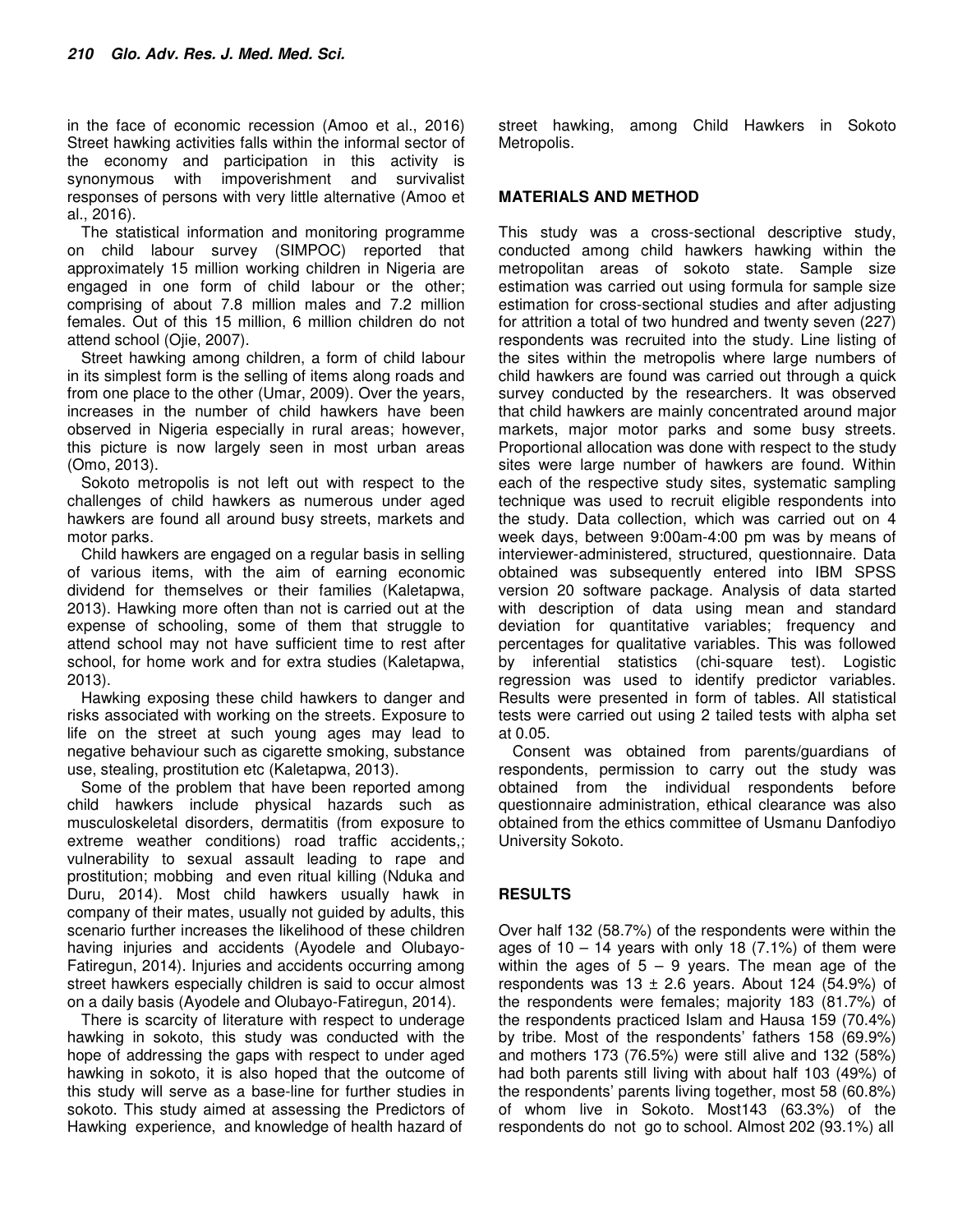in the face of economic recession (Amoo et al., 2016) Street hawking activities falls within the informal sector of the economy and participation in this activity is synonymous with impoverishment and survivalist responses of persons with very little alternative (Amoo et al., 2016).

The statistical information and monitoring programme on child labour survey (SIMPOC) reported that approximately 15 million working children in Nigeria are engaged in one form of child labour or the other; comprising of about 7.8 million males and 7.2 million females. Out of this 15 million, 6 million children do not attend school (Ojie, 2007).

Street hawking among children, a form of child labour in its simplest form is the selling of items along roads and from one place to the other (Umar, 2009). Over the years, increases in the number of child hawkers have been observed in Nigeria especially in rural areas; however, this picture is now largely seen in most urban areas (Omo, 2013).

Sokoto metropolis is not left out with respect to the challenges of child hawkers as numerous under aged hawkers are found all around busy streets, markets and motor parks.

Child hawkers are engaged on a regular basis in selling of various items, with the aim of earning economic dividend for themselves or their families (Kaletapwa, 2013). Hawking more often than not is carried out at the expense of schooling, some of them that struggle to attend school may not have sufficient time to rest after school, for home work and for extra studies (Kaletapwa, 2013).

Hawking exposing these child hawkers to danger and risks associated with working on the streets. Exposure to life on the street at such young ages may lead to negative behaviour such as cigarette smoking, substance use, stealing, prostitution etc (Kaletapwa, 2013).

Some of the problem that have been reported among child hawkers include physical hazards such as musculoskeletal disorders, dermatitis (from exposure to extreme weather conditions) road traffic accidents,; vulnerability to sexual assault leading to rape and prostitution; mobbing and even ritual killing (Nduka and Duru, 2014). Most child hawkers usually hawk in company of their mates, usually not guided by adults, this scenario further increases the likelihood of these children having injuries and accidents (Ayodele and Olubayo-Fatiregun, 2014). Injuries and accidents occurring among street hawkers especially children is said to occur almost on a daily basis (Ayodele and Olubayo-Fatiregun, 2014).

There is scarcity of literature with respect to underage hawking in sokoto, this study was conducted with the hope of addressing the gaps with respect to under aged hawking in sokoto, it is also hoped that the outcome of this study will serve as a base-line for further studies in sokoto. This study aimed at assessing the Predictors of Hawking experience, and knowledge of health hazard of

street hawking, among Child Hawkers in Sokoto Metropolis.

#### **MATERIALS AND METHOD**

This study was a cross-sectional descriptive study, conducted among child hawkers hawking within the metropolitan areas of sokoto state. Sample size estimation was carried out using formula for sample size estimation for cross-sectional studies and after adjusting for attrition a total of two hundred and twenty seven (227) respondents was recruited into the study. Line listing of the sites within the metropolis where large numbers of child hawkers are found was carried out through a quick survey conducted by the researchers. It was observed that child hawkers are mainly concentrated around major markets, major motor parks and some busy streets. Proportional allocation was done with respect to the study sites were large number of hawkers are found. Within each of the respective study sites, systematic sampling technique was used to recruit eligible respondents into the study. Data collection, which was carried out on 4 week days, between 9:00am-4:00 pm was by means of interviewer-administered, structured, questionnaire. Data obtained was subsequently entered into IBM SPSS version 20 software package. Analysis of data started with description of data using mean and standard deviation for quantitative variables; frequency and percentages for qualitative variables. This was followed by inferential statistics (chi-square test). Logistic regression was used to identify predictor variables. Results were presented in form of tables. All statistical tests were carried out using 2 tailed tests with alpha set at 0.05.

Consent was obtained from parents/guardians of respondents, permission to carry out the study was obtained from the individual respondents before questionnaire administration, ethical clearance was also obtained from the ethics committee of Usmanu Danfodiyo University Sokoto.

## **RESULTS**

Over half 132 (58.7%) of the respondents were within the ages of  $10 - 14$  years with only 18 (7.1%) of them were within the ages of  $5 - 9$  years. The mean age of the respondents was  $13 \pm 2.6$  years. About 124 (54.9%) of the respondents were females; majority 183 (81.7%) of the respondents practiced Islam and Hausa 159 (70.4%) by tribe. Most of the respondents' fathers 158 (69.9%) and mothers 173 (76.5%) were still alive and 132 (58%) had both parents still living with about half 103 (49%) of the respondents' parents living together, most 58 (60.8%) of whom live in Sokoto. Most143 (63.3%) of the respondents do not go to school. Almost 202 (93.1%) all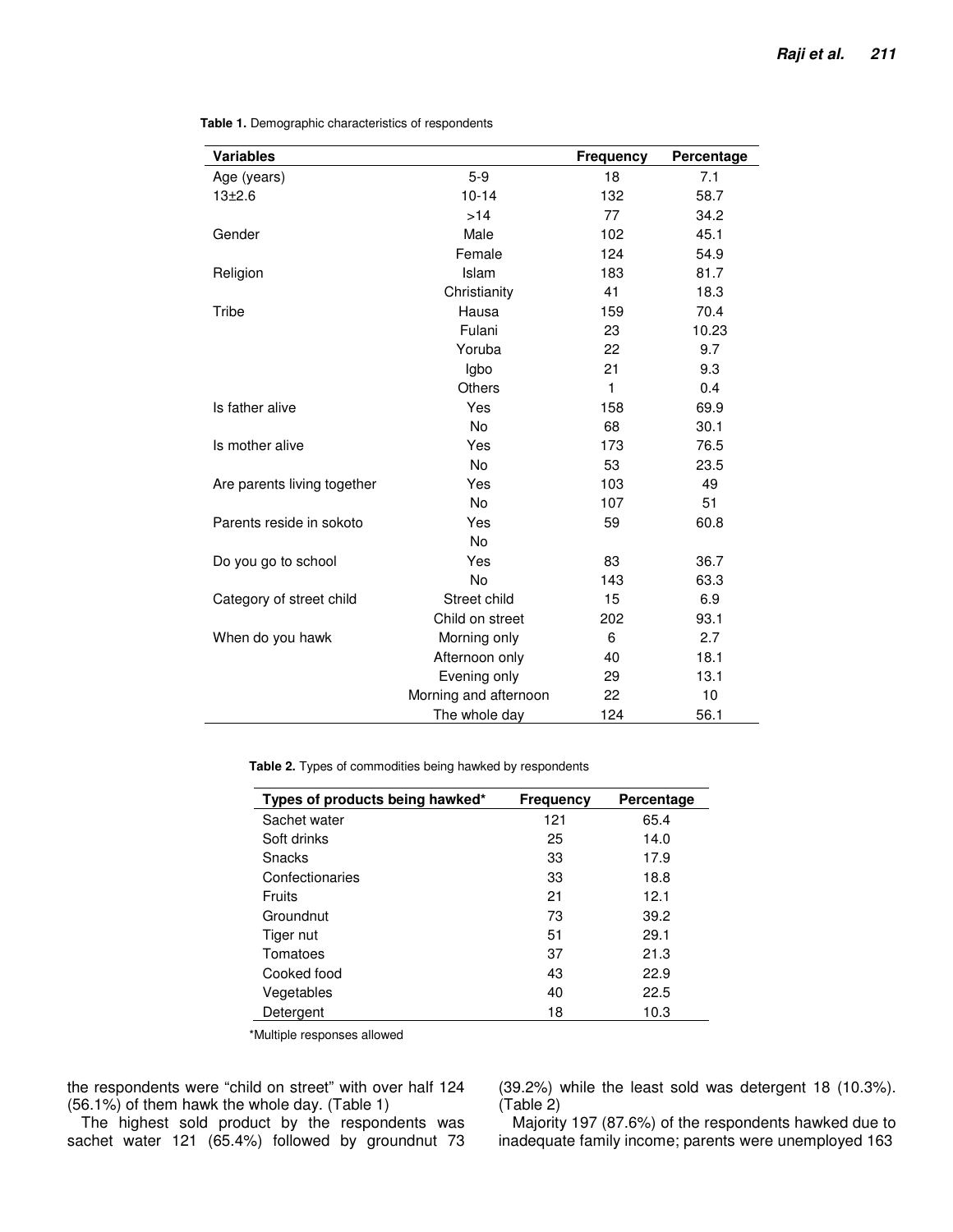| <b>Variables</b>            |                       | Frequency    | Percentage |
|-----------------------------|-----------------------|--------------|------------|
| Age (years)                 | $5-9$                 | 18           | 7.1        |
| $13 + 2.6$                  | $10 - 14$             | 132          | 58.7       |
|                             | >14                   | 77           | 34.2       |
| Gender                      | Male                  | 102          | 45.1       |
|                             | Female                | 124          | 54.9       |
| Religion                    | Islam                 | 183          | 81.7       |
|                             | Christianity          | 41           | 18.3       |
| Tribe                       | Hausa                 | 159          | 70.4       |
|                             | Fulani                | 23           | 10.23      |
|                             | Yoruba                | 22           | 9.7        |
|                             | Igbo                  | 21           | 9.3        |
|                             | Others                | $\mathbf{1}$ | 0.4        |
| Is father alive             | Yes                   | 158          | 69.9       |
|                             | <b>No</b>             | 68           | 30.1       |
| Is mother alive             | Yes                   | 173          | 76.5       |
|                             | No                    | 53           | 23.5       |
| Are parents living together | Yes                   | 103          | 49         |
|                             | No                    | 107          | 51         |
| Parents reside in sokoto    | Yes                   | 59           | 60.8       |
|                             | No                    |              |            |
| Do you go to school         | Yes                   | 83           | 36.7       |
|                             | No                    | 143          | 63.3       |
| Category of street child    | Street child          | 15           | 6.9        |
|                             | Child on street       | 202          | 93.1       |
| When do you hawk            | Morning only          | 6            | 2.7        |
|                             | Afternoon only        | 40           | 18.1       |
|                             | Evening only          | 29           | 13.1       |
|                             | Morning and afternoon | 22           | 10         |
|                             | The whole day         | 124          | 56.1       |

**Table 1.** Demographic characteristics of respondents

**Table 2.** Types of commodities being hawked by respondents

| Types of products being hawked* | <b>Frequency</b> | Percentage |
|---------------------------------|------------------|------------|
| Sachet water                    | 121              | 65.4       |
| Soft drinks                     | 25               | 14.0       |
| Snacks                          | 33               | 17.9       |
| Confectionaries                 | 33               | 18.8       |
| Fruits                          | 21               | 12.1       |
| Groundnut                       | 73               | 39.2       |
| Tiger nut                       | 51               | 29.1       |
| Tomatoes                        | 37               | 21.3       |
| Cooked food                     | 43               | 22.9       |
| Vegetables                      | 40               | 22.5       |
| Detergent                       | 18               | 10.3       |

\*Multiple responses allowed

the respondents were "child on street" with over half 124 (56.1%) of them hawk the whole day. (Table 1)

The highest sold product by the respondents was sachet water 121 (65.4%) followed by groundnut 73 (39.2%) while the least sold was detergent 18 (10.3%). (Table 2)

Majority 197 (87.6%) of the respondents hawked due to inadequate family income; parents were unemployed 163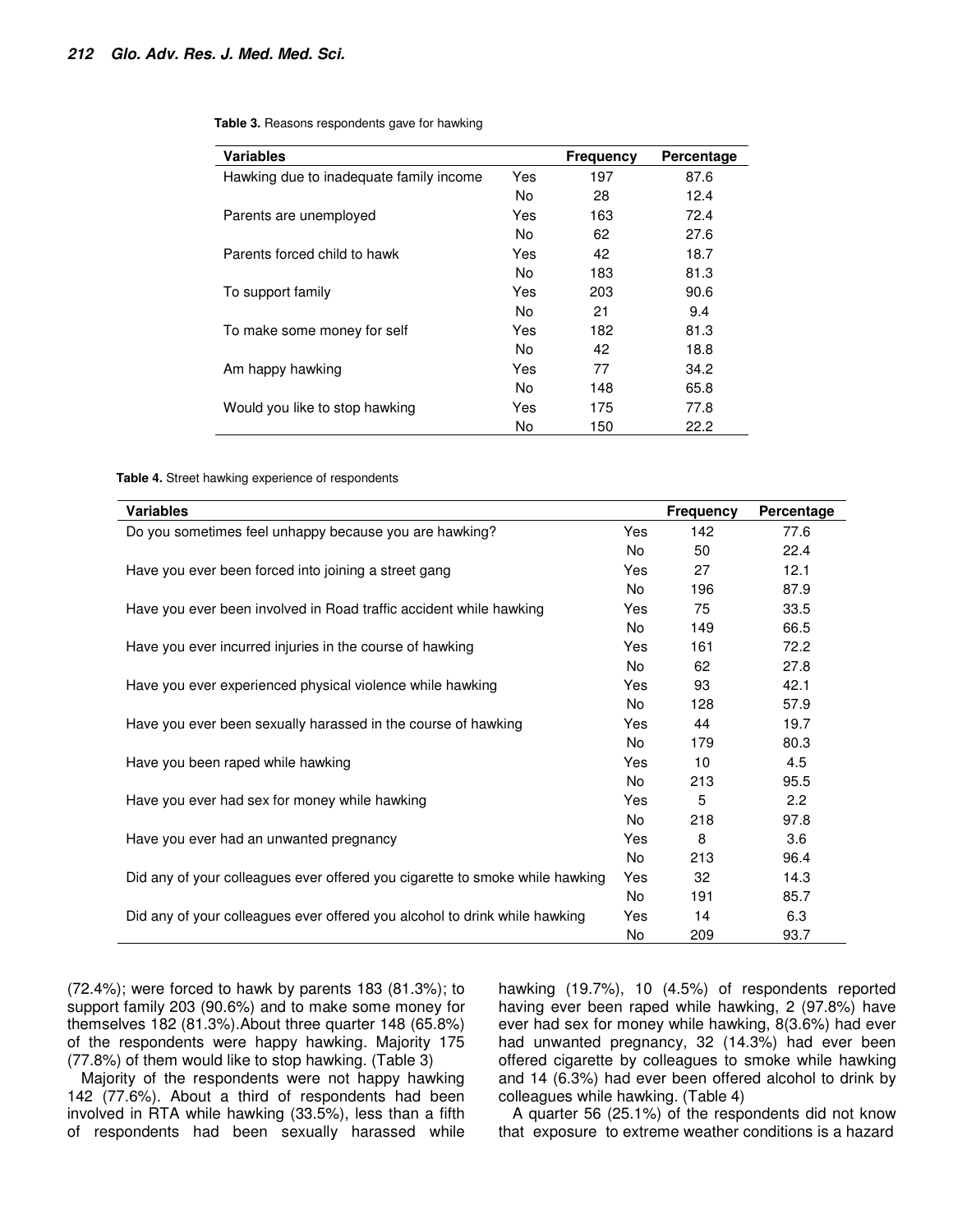| <b>Variables</b>                        |     | <b>Frequency</b> | Percentage |
|-----------------------------------------|-----|------------------|------------|
| Hawking due to inadequate family income | Yes | 197              | 87.6       |
|                                         | No. | 28               | 12.4       |
| Parents are unemployed                  | Yes | 163              | 72.4       |
|                                         | No. | 62               | 27.6       |
| Parents forced child to hawk            | Yes | 42               | 18.7       |
|                                         | No. | 183              | 81.3       |
| To support family                       | Yes | 203              | 90.6       |
|                                         | No. | 21               | 9.4        |
| To make some money for self             | Yes | 182              | 81.3       |
|                                         | No. | 42               | 18.8       |
| Am happy hawking                        | Yes | 77               | 34.2       |
|                                         | No. | 148              | 65.8       |
| Would you like to stop hawking          | Yes | 175              | 77.8       |
|                                         | No  | 150              | 22.2       |

**Table 3.** Reasons respondents gave for hawking

**Table 4.** Street hawking experience of respondents

| <b>Variables</b>                                                             |     | <b>Frequency</b> | Percentage |
|------------------------------------------------------------------------------|-----|------------------|------------|
| Do you sometimes feel unhappy because you are hawking?                       | Yes | 142              | 77.6       |
|                                                                              | No  | 50               | 22.4       |
| Have you ever been forced into joining a street gang                         | Yes | 27               | 12.1       |
|                                                                              | No. | 196              | 87.9       |
| Have you ever been involved in Road traffic accident while hawking           | Yes | 75               | 33.5       |
|                                                                              | No. | 149              | 66.5       |
| Have you ever incurred injuries in the course of hawking                     | Yes | 161              | 72.2       |
|                                                                              | No. | 62               | 27.8       |
| Have you ever experienced physical violence while hawking                    | Yes | 93               | 42.1       |
|                                                                              | No  | 128              | 57.9       |
| Have you ever been sexually harassed in the course of hawking                | Yes | 44               | 19.7       |
|                                                                              | No  | 179              | 80.3       |
| Have you been raped while hawking                                            | Yes | 10               | 4.5        |
|                                                                              | No  | 213              | 95.5       |
| Have you ever had sex for money while hawking                                | Yes | 5                | 2.2        |
|                                                                              | No  | 218              | 97.8       |
| Have you ever had an unwanted pregnancy                                      | Yes | 8                | 3.6        |
|                                                                              | No  | 213              | 96.4       |
| Did any of your colleagues ever offered you cigarette to smoke while hawking | Yes | 32               | 14.3       |
|                                                                              | No. | 191              | 85.7       |
| Did any of your colleagues ever offered you alcohol to drink while hawking   | Yes | 14               | 6.3        |
|                                                                              | No  | 209              | 93.7       |

(72.4%); were forced to hawk by parents 183 (81.3%); to support family 203 (90.6%) and to make some money for themselves 182 (81.3%).About three quarter 148 (65.8%) of the respondents were happy hawking. Majority 175 (77.8%) of them would like to stop hawking. (Table 3)

Majority of the respondents were not happy hawking 142 (77.6%). About a third of respondents had been involved in RTA while hawking (33.5%), less than a fifth of respondents had been sexually harassed while

hawking (19.7%), 10 (4.5%) of respondents reported having ever been raped while hawking, 2 (97.8%) have ever had sex for money while hawking, 8(3.6%) had ever had unwanted pregnancy, 32 (14.3%) had ever been offered cigarette by colleagues to smoke while hawking and 14 (6.3%) had ever been offered alcohol to drink by colleagues while hawking. (Table 4)

A quarter 56 (25.1%) of the respondents did not know that exposure to extreme weather conditions is a hazard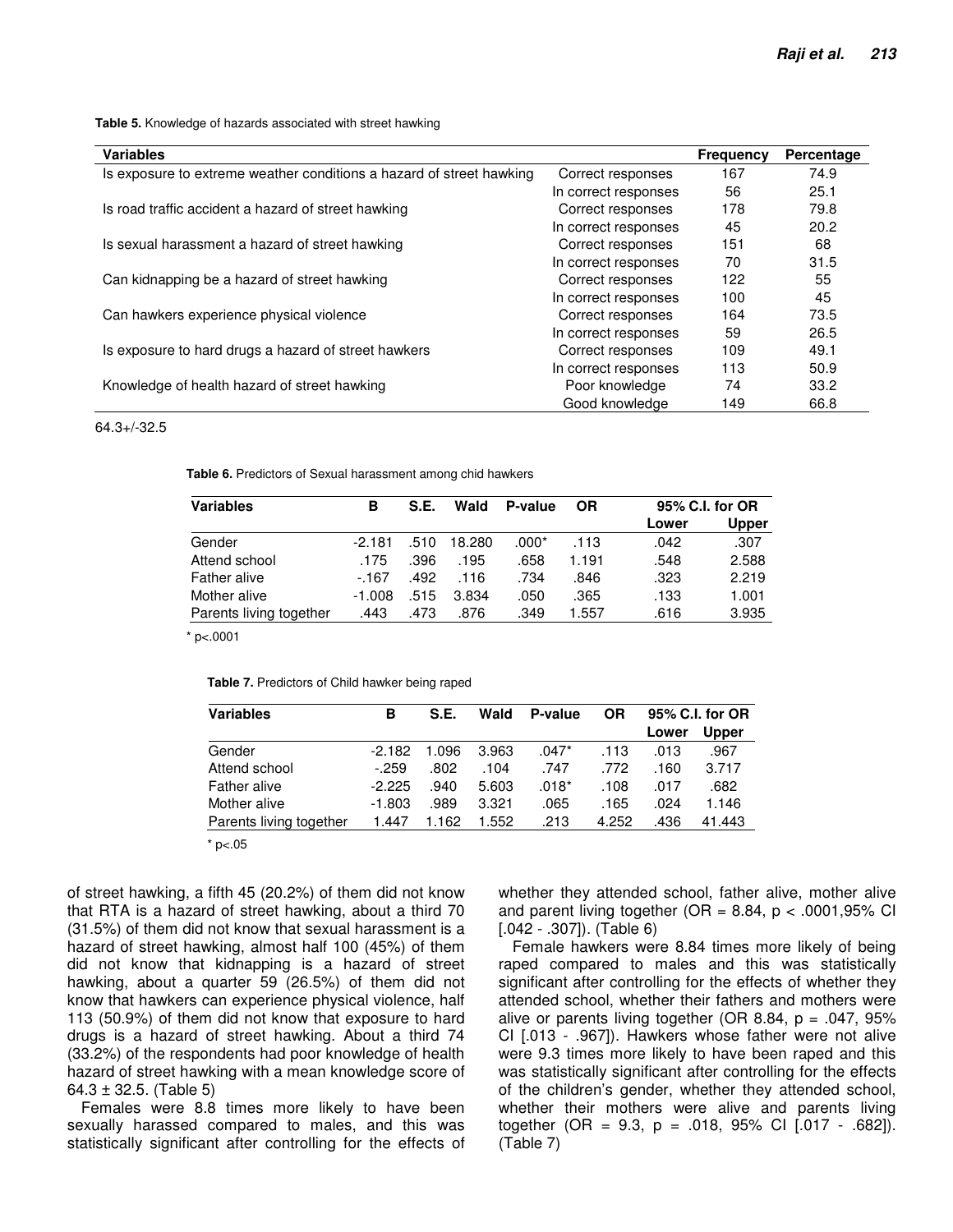**Table 5.** Knowledge of hazards associated with street hawking

| <b>Variables</b>                                                     |                      | <b>Frequency</b> | Percentage |
|----------------------------------------------------------------------|----------------------|------------------|------------|
| Is exposure to extreme weather conditions a hazard of street hawking | Correct responses    | 167              | 74.9       |
|                                                                      | In correct responses | 56               | 25.1       |
| Is road traffic accident a hazard of street hawking                  | Correct responses    | 178              | 79.8       |
|                                                                      | In correct responses | 45               | 20.2       |
| Is sexual harassment a hazard of street hawking                      | Correct responses    | 151              | 68         |
|                                                                      | In correct responses | 70               | 31.5       |
| Can kidnapping be a hazard of street hawking                         | Correct responses    | 122              | 55         |
|                                                                      | In correct responses | 100              | 45         |
| Can hawkers experience physical violence                             | Correct responses    | 164              | 73.5       |
|                                                                      | In correct responses | 59               | 26.5       |
| Is exposure to hard drugs a hazard of street hawkers                 | Correct responses    | 109              | 49.1       |
|                                                                      | In correct responses | 113              | 50.9       |
| Knowledge of health hazard of street hawking                         | Poor knowledge       | 74               | 33.2       |
|                                                                      | Good knowledge       | 149              | 66.8       |

#### 64.3+/-32.5

**Table 6.** Predictors of Sexual harassment among chid hawkers

| <b>Variables</b>        | в        | S.E. | Wald   | P-value | OR    | 95% C.I. for OR |       |
|-------------------------|----------|------|--------|---------|-------|-----------------|-------|
|                         |          |      |        |         |       | Lower           | Upper |
| Gender                  | $-2.181$ | .510 | 18.280 | .000*   | .113  | .042            | .307  |
| Attend school           | .175     | .396 | .195   | .658    | 1.191 | .548            | 2.588 |
| Father alive            | - 167    | .492 | .116   | .734    | .846  | .323            | 2.219 |
| Mother alive            | $-1.008$ | .515 | 3.834  | .050    | .365  | .133            | 1.001 |
| Parents living together | .443     | .473 | .876   | .349    | 1.557 | .616            | 3.935 |

 $*$  p<.0001

|  | Table 7. Predictors of Child hawker being raped |  |  |  |  |
|--|-------------------------------------------------|--|--|--|--|
|--|-------------------------------------------------|--|--|--|--|

| <b>Variables</b>        | в        | S.E.  | Wald  | P-value | OR    |       | 95% C.I. for OR |
|-------------------------|----------|-------|-------|---------|-------|-------|-----------------|
|                         |          |       |       |         |       | Lower | Upper           |
| Gender                  | $-2.182$ | 1.096 | 3.963 | $.047*$ | .113  | .013  | .967            |
| Attend school           | $-259$   | .802  | .104  | .747    | .772  | .160  | 3.717           |
| Father alive            | $-2.225$ | .940  | 5.603 | $.018*$ | .108  | .017  | .682            |
| Mother alive            | $-1.803$ | .989  | 3.321 | .065    | .165  | .024  | 1.146           |
| Parents living together | 1.447    | 162   | 1.552 | .213    | 4.252 | .436  | 41.443          |

 $*$  p $< .05$ 

of street hawking, a fifth 45 (20.2%) of them did not know that RTA is a hazard of street hawking, about a third 70 (31.5%) of them did not know that sexual harassment is a hazard of street hawking, almost half 100 (45%) of them did not know that kidnapping is a hazard of street hawking, about a quarter 59 (26.5%) of them did not know that hawkers can experience physical violence, half 113 (50.9%) of them did not know that exposure to hard drugs is a hazard of street hawking. About a third 74 (33.2%) of the respondents had poor knowledge of health hazard of street hawking with a mean knowledge score of  $64.3 \pm 32.5$ . (Table 5)

Females were 8.8 times more likely to have been sexually harassed compared to males, and this was statistically significant after controlling for the effects of whether they attended school, father alive, mother alive and parent living together (OR = 8.84,  $p < .0001,95\%$  CI [.042 - .307]). (Table 6)

Female hawkers were 8.84 times more likely of being raped compared to males and this was statistically significant after controlling for the effects of whether they attended school, whether their fathers and mothers were alive or parents living together (OR 8.84,  $p = .047, 95\%$ CI [.013 - .967]). Hawkers whose father were not alive were 9.3 times more likely to have been raped and this was statistically significant after controlling for the effects of the children's gender, whether they attended school, whether their mothers were alive and parents living together (OR = 9.3,  $p = .018$ , 95% CI [.017 - .682]). (Table 7)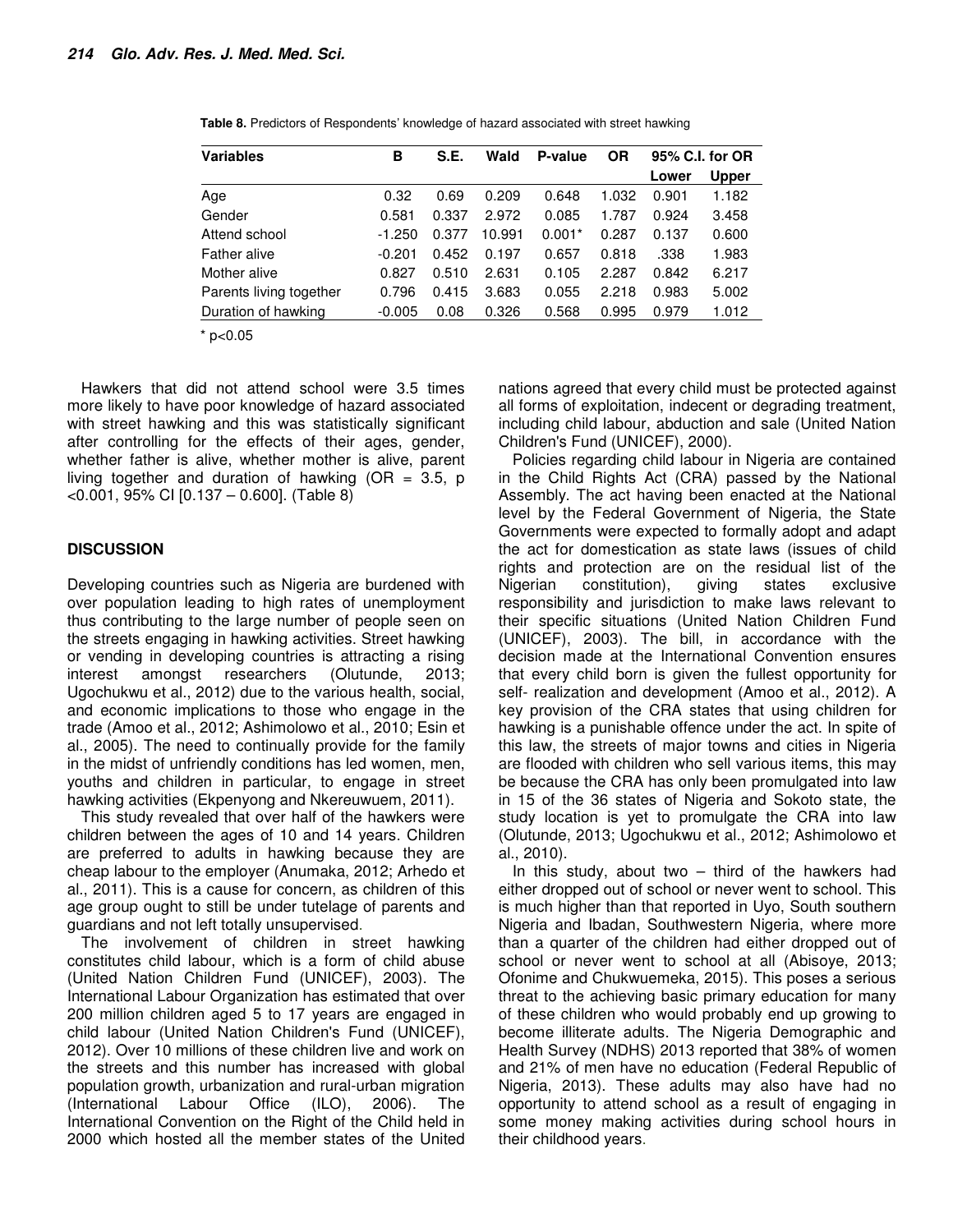| <b>Variables</b>        | в        | S.E.  | Wald   | P-value  | <b>OR</b> | 95% C.I. for OR |              |
|-------------------------|----------|-------|--------|----------|-----------|-----------------|--------------|
|                         |          |       |        |          |           | Lower           | <b>Upper</b> |
| Age                     | 0.32     | 0.69  | 0.209  | 0.648    | 1.032     | 0.901           | 1.182        |
| Gender                  | 0.581    | 0.337 | 2.972  | 0.085    | 1.787     | 0.924           | 3.458        |
| Attend school           | $-1.250$ | 0.377 | 10.991 | $0.001*$ | 0.287     | 0.137           | 0.600        |
| <b>Father alive</b>     | $-0.201$ | 0.452 | 0.197  | 0.657    | 0.818     | .338            | 1.983        |
| Mother alive            | 0.827    | 0.510 | 2.631  | 0.105    | 2.287     | 0.842           | 6.217        |
| Parents living together | 0.796    | 0.415 | 3.683  | 0.055    | 2.218     | 0.983           | 5.002        |
| Duration of hawking     | $-0.005$ | 0.08  | 0.326  | 0.568    | 0.995     | 0.979           | 1.012        |

**Table 8.** Predictors of Respondents' knowledge of hazard associated with street hawking

 $*$  p<0.05

Hawkers that did not attend school were 3.5 times more likely to have poor knowledge of hazard associated with street hawking and this was statistically significant after controlling for the effects of their ages, gender, whether father is alive, whether mother is alive, parent living together and duration of hawking ( $OR = 3.5$ , p <0.001, 95% CI [0.137 – 0.600]. (Table 8)

### **DISCUSSION**

Developing countries such as Nigeria are burdened with over population leading to high rates of unemployment thus contributing to the large number of people seen on the streets engaging in hawking activities. Street hawking or vending in developing countries is attracting a rising interest amongst researchers (Olutunde, 2013; Ugochukwu et al., 2012) due to the various health, social, and economic implications to those who engage in the trade (Amoo et al., 2012; Ashimolowo et al., 2010; Esin et al., 2005). The need to continually provide for the family in the midst of unfriendly conditions has led women, men, youths and children in particular, to engage in street hawking activities (Ekpenyong and Nkereuwuem, 2011).

This study revealed that over half of the hawkers were children between the ages of 10 and 14 years. Children are preferred to adults in hawking because they are cheap labour to the employer (Anumaka, 2012; Arhedo et al., 2011). This is a cause for concern, as children of this age group ought to still be under tutelage of parents and guardians and not left totally unsupervised.

The involvement of children in street hawking constitutes child labour, which is a form of child abuse (United Nation Children Fund (UNICEF), 2003). The International Labour Organization has estimated that over 200 million children aged 5 to 17 years are engaged in child labour (United Nation Children's Fund (UNICEF), 2012). Over 10 millions of these children live and work on the streets and this number has increased with global population growth, urbanization and rural-urban migration (International Labour Office (ILO), 2006). The International Convention on the Right of the Child held in 2000 which hosted all the member states of the United

nations agreed that every child must be protected against all forms of exploitation, indecent or degrading treatment, including child labour, abduction and sale (United Nation Children's Fund (UNICEF), 2000).

Policies regarding child labour in Nigeria are contained in the Child Rights Act (CRA) passed by the National Assembly. The act having been enacted at the National level by the Federal Government of Nigeria, the State Governments were expected to formally adopt and adapt the act for domestication as state laws (issues of child rights and protection are on the residual list of the Nigerian constitution), giving states exclusive responsibility and jurisdiction to make laws relevant to their specific situations (United Nation Children Fund (UNICEF), 2003). The bill, in accordance with the decision made at the International Convention ensures that every child born is given the fullest opportunity for self- realization and development (Amoo et al., 2012). A key provision of the CRA states that using children for hawking is a punishable offence under the act. In spite of this law, the streets of major towns and cities in Nigeria are flooded with children who sell various items, this may be because the CRA has only been promulgated into law in 15 of the 36 states of Nigeria and Sokoto state, the study location is yet to promulgate the CRA into law (Olutunde, 2013; Ugochukwu et al., 2012; Ashimolowo et al., 2010).

In this study, about two  $-$  third of the hawkers had either dropped out of school or never went to school. This is much higher than that reported in Uyo, South southern Nigeria and Ibadan, Southwestern Nigeria, where more than a quarter of the children had either dropped out of school or never went to school at all (Abisoye, 2013; Ofonime and Chukwuemeka, 2015). This poses a serious threat to the achieving basic primary education for many of these children who would probably end up growing to become illiterate adults. The Nigeria Demographic and Health Survey (NDHS) 2013 reported that 38% of women and 21% of men have no education (Federal Republic of Nigeria, 2013). These adults may also have had no opportunity to attend school as a result of engaging in some money making activities during school hours in their childhood years.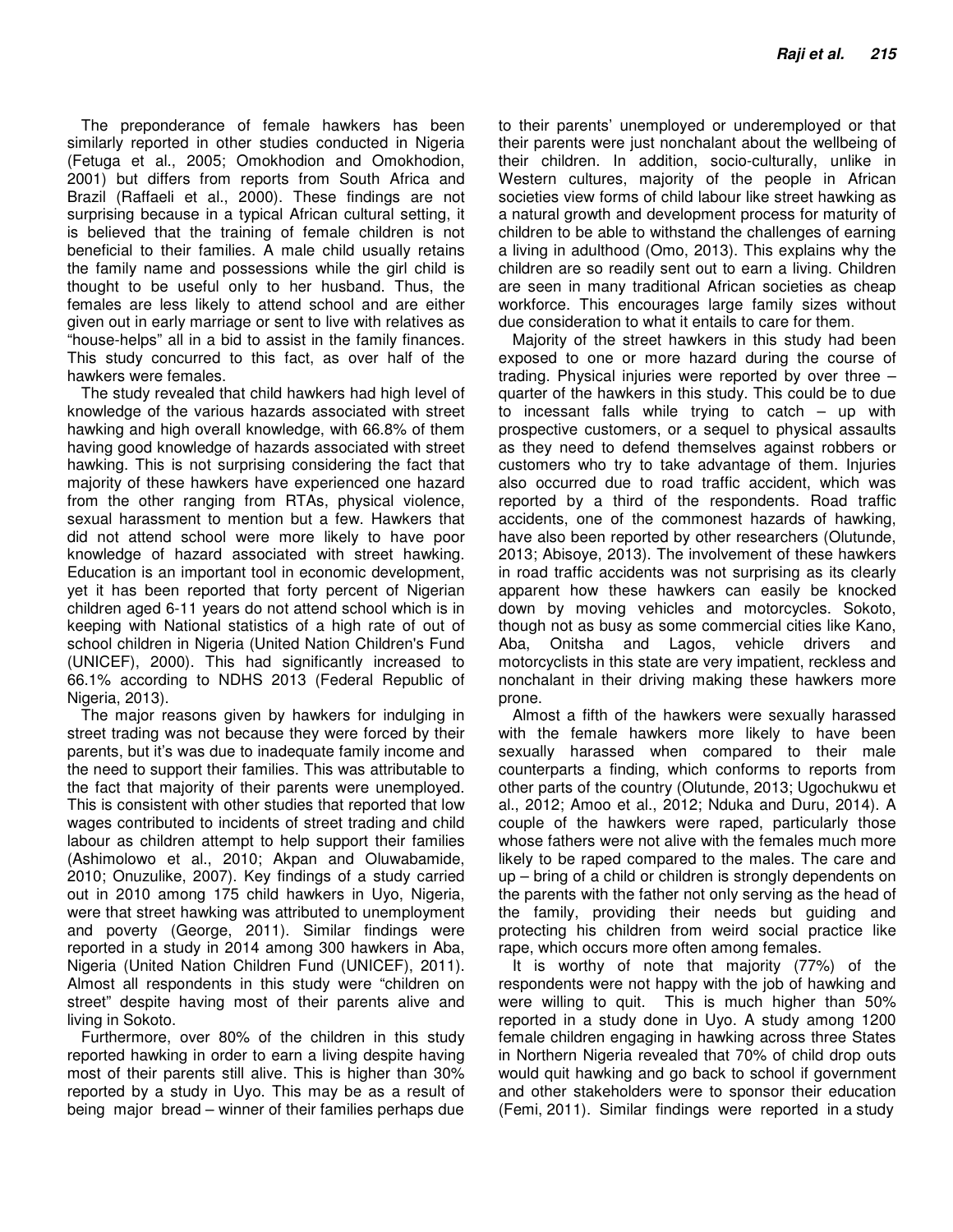The preponderance of female hawkers has been similarly reported in other studies conducted in Nigeria (Fetuga et al., 2005; Omokhodion and Omokhodion, 2001) but differs from reports from South Africa and Brazil (Raffaeli et al., 2000). These findings are not surprising because in a typical African cultural setting, it is believed that the training of female children is not beneficial to their families. A male child usually retains the family name and possessions while the girl child is thought to be useful only to her husband. Thus, the females are less likely to attend school and are either given out in early marriage or sent to live with relatives as "house-helps" all in a bid to assist in the family finances. This study concurred to this fact, as over half of the hawkers were females.

The study revealed that child hawkers had high level of knowledge of the various hazards associated with street hawking and high overall knowledge, with 66.8% of them having good knowledge of hazards associated with street hawking. This is not surprising considering the fact that majority of these hawkers have experienced one hazard from the other ranging from RTAs, physical violence, sexual harassment to mention but a few. Hawkers that did not attend school were more likely to have poor knowledge of hazard associated with street hawking. Education is an important tool in economic development, yet it has been reported that forty percent of Nigerian children aged 6-11 years do not attend school which is in keeping with National statistics of a high rate of out of school children in Nigeria (United Nation Children's Fund (UNICEF), 2000). This had significantly increased to 66.1% according to NDHS 2013 (Federal Republic of Nigeria, 2013).

The major reasons given by hawkers for indulging in street trading was not because they were forced by their parents, but it's was due to inadequate family income and the need to support their families. This was attributable to the fact that majority of their parents were unemployed. This is consistent with other studies that reported that low wages contributed to incidents of street trading and child labour as children attempt to help support their families (Ashimolowo et al., 2010; Akpan and Oluwabamide, 2010; Onuzulike, 2007). Key findings of a study carried out in 2010 among 175 child hawkers in Uyo, Nigeria, were that street hawking was attributed to unemployment and poverty (George, 2011). Similar findings were reported in a study in 2014 among 300 hawkers in Aba, Nigeria (United Nation Children Fund (UNICEF), 2011). Almost all respondents in this study were "children on street" despite having most of their parents alive and living in Sokoto.

Furthermore, over 80% of the children in this study reported hawking in order to earn a living despite having most of their parents still alive. This is higher than 30% reported by a study in Uyo. This may be as a result of being major bread – winner of their families perhaps due

to their parents' unemployed or underemployed or that their parents were just nonchalant about the wellbeing of their children. In addition, socio-culturally, unlike in Western cultures, majority of the people in African societies view forms of child labour like street hawking as a natural growth and development process for maturity of children to be able to withstand the challenges of earning a living in adulthood (Omo, 2013). This explains why the children are so readily sent out to earn a living. Children are seen in many traditional African societies as cheap workforce. This encourages large family sizes without due consideration to what it entails to care for them.

Majority of the street hawkers in this study had been exposed to one or more hazard during the course of trading. Physical injuries were reported by over three – quarter of the hawkers in this study. This could be to due to incessant falls while trying to catch – up with prospective customers, or a sequel to physical assaults as they need to defend themselves against robbers or customers who try to take advantage of them. Injuries also occurred due to road traffic accident, which was reported by a third of the respondents. Road traffic accidents, one of the commonest hazards of hawking, have also been reported by other researchers (Olutunde, 2013; Abisoye, 2013). The involvement of these hawkers in road traffic accidents was not surprising as its clearly apparent how these hawkers can easily be knocked down by moving vehicles and motorcycles. Sokoto, though not as busy as some commercial cities like Kano, Aba, Onitsha and Lagos, vehicle drivers and motorcyclists in this state are very impatient, reckless and nonchalant in their driving making these hawkers more prone.

Almost a fifth of the hawkers were sexually harassed with the female hawkers more likely to have been sexually harassed when compared to their male counterparts a finding, which conforms to reports from other parts of the country (Olutunde, 2013; Ugochukwu et al., 2012; Amoo et al., 2012; Nduka and Duru, 2014). A couple of the hawkers were raped, particularly those whose fathers were not alive with the females much more likely to be raped compared to the males. The care and up – bring of a child or children is strongly dependents on the parents with the father not only serving as the head of the family, providing their needs but guiding and protecting his children from weird social practice like rape, which occurs more often among females.

It is worthy of note that majority (77%) of the respondents were not happy with the job of hawking and were willing to quit. This is much higher than 50% reported in a study done in Uyo. A study among 1200 female children engaging in hawking across three States in Northern Nigeria revealed that 70% of child drop outs would quit hawking and go back to school if government and other stakeholders were to sponsor their education (Femi, 2011). Similar findings were reported in a study